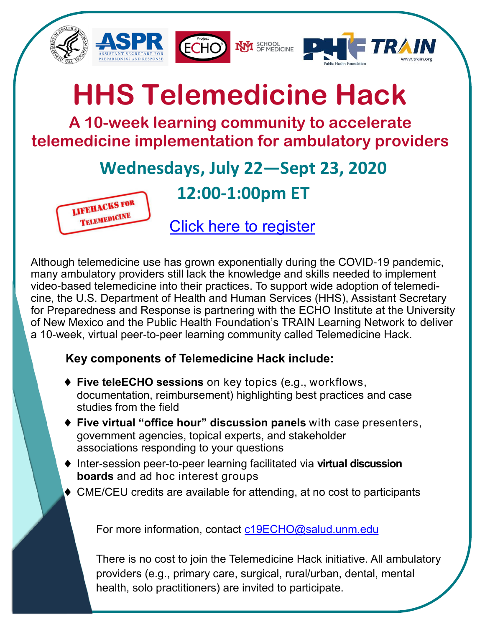

## **HHS Telemedicine Hack**

**A 10-week learning community to accelerate telemedicine implementation for ambulatory providers**

## **Wednesdays, July 22—Sept 23, 2020**



**12:00-1:00pm ET**

[Click here to register](https://echo.zoom.us/webinar/register/WN_c3mWhTm8Q5K3XHDv0zyHuQ)

Although telemedicine use has grown exponentially during the COVID-19 pandemic, many ambulatory providers still lack the knowledge and skills needed to implement video-based telemedicine into their practices. To support wide adoption of telemedicine, the U.S. Department of Health and Human Services (HHS), Assistant Secretary for Preparedness and Response is partnering with the ECHO Institute at the University of New Mexico and the Public Health Foundation's TRAIN Learning Network to deliver a 10-week, virtual peer-to-peer learning community called Telemedicine Hack.

## **Key components of Telemedicine Hack include:**

- **Five teleECHO sessions** on key topics (e.g., workflows, documentation, reimbursement) highlighting best practices and case studies from the field
- **Five virtual "office hour" discussion panels** with case presenters, government agencies, topical experts, and stakeholder associations responding to your questions
- ◆ Inter-session peer-to-peer learning facilitated via **virtual discussion boards** and ad hoc interest groups
- ◆ CME/CEU credits are available for attending, at no cost to participants

For more information, contact [c19ECHO@salud.unm.edu](mailto:c19ECHO@salud.unm.edu?subject=HHS%20Telemedicine%20Hack%20ECHO)

There is no cost to join the Telemedicine Hack initiative. All ambulatory providers (e.g., primary care, surgical, rural/urban, dental, mental health, solo practitioners) are invited to participate.